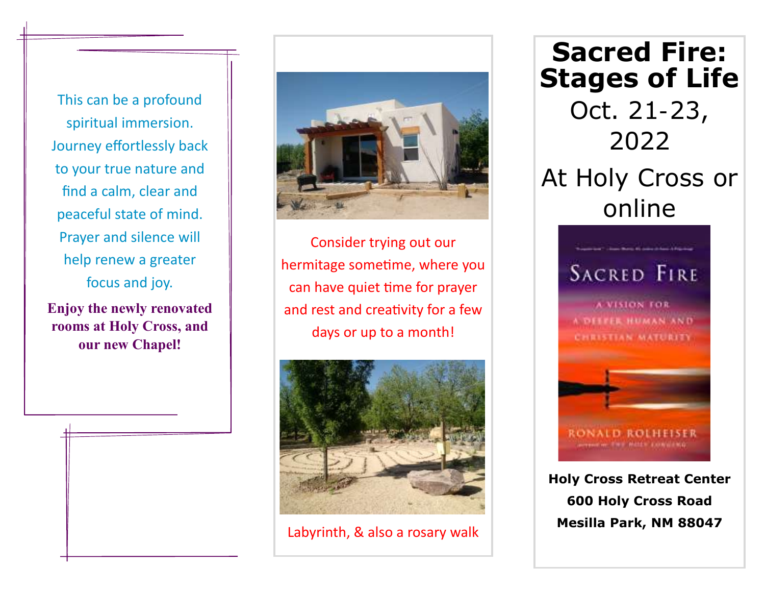This can be a profound spiritual immersion. Journey effortlessly back to your true nature and find a calm, clear and peaceful state of mind. Prayer and silence will help renew a greater focus and joy.

**Enjoy the newly renovated rooms at Holy Cross, and our new Chapel!**

j



Consider trying out our hermitage sometime, where you can have quiet time for prayer and rest and creativity for a few days or up to a month!



Labyrinth, & also a rosary walk

**Sacred Fire: Stages of Life** Oct. 21-23, 2022 At Holy Cross or online



**Holy Cross Retreat Center 600 Holy Cross Road Mesilla Park, NM 88047**